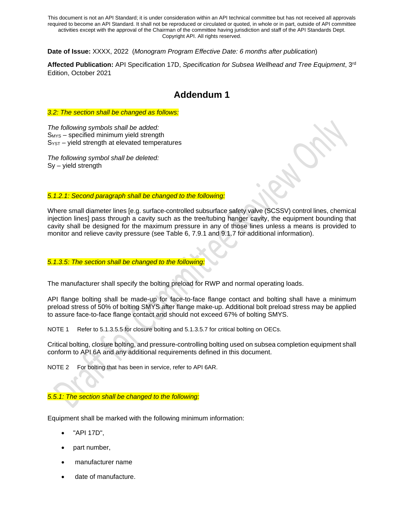**Date of Issue:** XXXX, 2022 (*Monogram Program Effective Date: 6 months after publication*)

**Affected Publication:** API Specification 17D, *Specification for Subsea Wellhead and Tree Equipment*, 3rd Edition, October 2021

# **Addendum 1**

*3.2: The section shall be changed as follows:*

*The following symbols shall be added:* SMYS – specified minimum yield strength  $S<sub>YST</sub>$  – yield strength at elevated temperatures

*The following symbol shall be deleted:* Sy – yield strength

### *5.1.2.1: Second paragraph shall be changed to the following:*

Where small diameter lines [e.g. surface-controlled subsurface safety valve (SCSSV) control lines, chemical injection lines] pass through a cavity such as the tree/tubing hanger cavity, the equipment bounding that cavity shall be designed for the maximum pressure in any of those lines unless a means is provided to monitor and relieve cavity pressure (see Table 6, 7.9.1 and 9.1.7 for additional information).

## *5.1.3.5: The section shall be changed to the following:*

The manufacturer shall specify the bolting preload for RWP and normal operating loads.

API flange bolting shall be made-up for face-to-face flange contact and bolting shall have a minimum preload stress of 50% of bolting SMYS after flange make-up. Additional bolt preload stress may be applied to assure face-to-face flange contact and should not exceed 67% of bolting SMYS.

NOTE 1 Refer to 5.1.3.5.5 for closure bolting and 5.1.3.5.7 for critical bolting on OECs.

Critical bolting, closure bolting, and pressure-controlling bolting used on subsea completion equipment shall conform to API 6A and any additional requirements defined in this document.

NOTE 2 For bolting that has been in service, refer to API 6AR.

*5.5.1: The section shall be changed to the following:*

Equipment shall be marked with the following minimum information:

- "API 17D",
- part number,
- manufacturer name
- date of manufacture.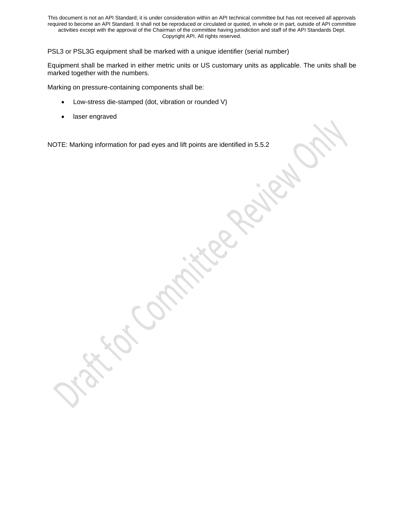PSL3 or PSL3G equipment shall be marked with a unique identifier (serial number)

Equipment shall be marked in either metric units or US customary units as applicable. The units shall be marked together with the numbers.

Marking on pressure-containing components shall be:

- Low-stress die-stamped (dot, vibration or rounded V)
- laser engraved

NOTE: Marking information for pad eyes and lift points are identified in 5.5.2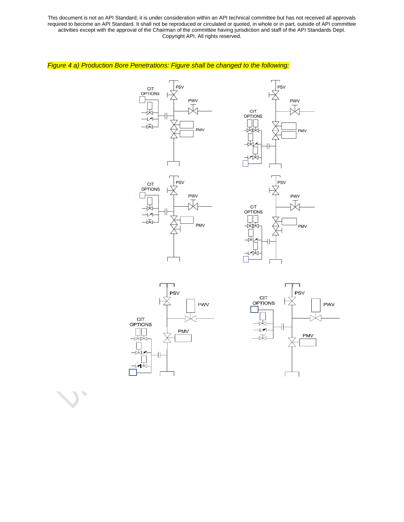# *Figure 4 a) Production Bore Penetrations: Figure shall be changed to the following:*













 $\overline{\phantom{a}}$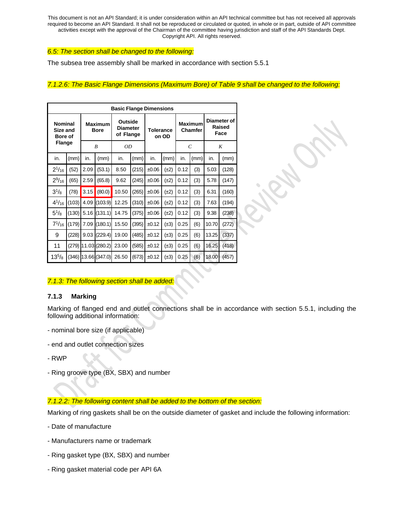#### *6.5: The section shall be changed to the following:*

The subsea tree assembly shall be marked in accordance with section 5.5.1

## *7.1.2.6: The Basic Flange Dimensions (Maximum Bore) of Table 9 shall be changed to the following:*

| <b>Basic Flange Dimensions</b>                                |       |                |                               |                                         |       |                  |           |      |                           |                               |       |  |  |
|---------------------------------------------------------------|-------|----------------|-------------------------------|-----------------------------------------|-------|------------------|-----------|------|---------------------------|-------------------------------|-------|--|--|
| <b>Nominal</b><br>Size and<br><b>Bore of</b><br><b>Flange</b> |       |                | <b>Maximum</b><br><b>Bore</b> | Outside<br><b>Diameter</b><br>of Flange |       | <b>Tolerance</b> | on OD     |      | <b>Maximum</b><br>Chamfer | Diameter of<br>Raised<br>Face |       |  |  |
|                                                               |       | $\overline{B}$ |                               | ΟD                                      |       |                  |           |      | $\overline{C}$            | K                             |       |  |  |
| in.                                                           | (mm)  | in.            | (mm)                          | in.                                     | (mm)  | in.              | (mm)      | in.  | (mm)                      | in.                           | (mm)  |  |  |
| $2^{1/16}$                                                    | (52)  | 2.09           | (53.1)                        | 8.50                                    | (215) | $+0.06$          | $(\pm 2)$ | 0.12 | (3)                       | 5.03                          | (128) |  |  |
| $2^{9}/_{16}$                                                 | (65)  | 2.59           | (65.8)                        | 9.62                                    | (245) | $+0.06$          | $(\pm 2)$ | 0.12 | (3)                       | 5.78                          | (147) |  |  |
| $3^{1}/8$                                                     | (78)  | 3.15           | (80.0)                        | 10.50                                   | (265) | $\pm 0.06$       | $(\pm 2)$ | 0.12 | (3)                       | 6.31                          | (160) |  |  |
| $4^{1}/_{16}$                                                 | (103) | 4.09           | (103.9)                       | 12.25                                   | (310) | $\pm 0.06$       | $(\pm 2)$ | 0.12 | (3)                       | 7.63                          | (194) |  |  |
| $5^{1}/8$                                                     | (130) | 5.16           | (131.1)                       | 14.75                                   | (375) | $\pm 0.06$       | $(\pm 2)$ | 0.12 | (3)                       | 9.38                          | (238) |  |  |
| $7^{1/16}$                                                    | (179) | 7.09           | (180.1)                       | 15.50                                   | (395) | ±0.12            | $(\pm 3)$ | 0.25 | (6)                       | 10.70                         | (272) |  |  |
| 9                                                             | (228) | 9.03           | (229.4)                       | 19.00                                   | (485) | ±0.12            | $(\pm 3)$ | 0.25 | (6)                       | 13.25                         | (337) |  |  |
| 11                                                            |       |                | $(279)$ 11.03 $(280.2)$       | 23.00                                   | (585) | ±0.12            | $(\pm 3)$ | 0.25 | (6)                       | 16.25                         | (418) |  |  |
| $13^{5}/_8$                                                   |       |                | (346) 13.66 (347.0)           | 26.50                                   | (673) | ±0.12            | $(\pm 3)$ | 0.25 | (6)                       | 18.00                         | (457) |  |  |

#### *7.1.3: The following section shall be added:*

## **7.1.3 Marking**

Marking of flanged end and outlet connections shall be in accordance with section 5.5.1, including the following additional information:

- nominal bore size (if applicable)
- end and outlet connection sizes
- RWP
- Ring groove type (BX, SBX) and number

#### *7.1.2.2: The following content shall be added to the bottom of the section:*

Marking of ring gaskets shall be on the outside diameter of gasket and include the following information:

- Date of manufacture
- Manufacturers name or trademark
- Ring gasket type (BX, SBX) and number
- Ring gasket material code per API 6A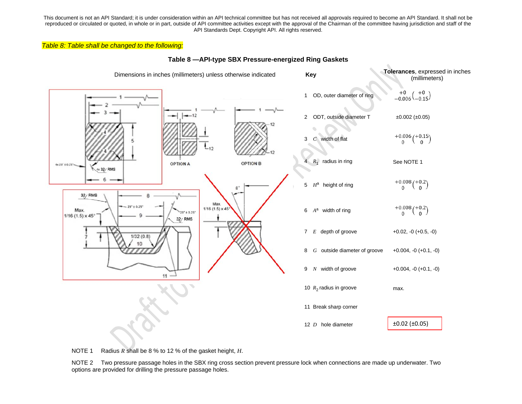#### *Table 8: Table shall be changed to the following:*



#### **Table 8 —API-type SBX Pressure-energized Ring Gaskets**

NOTE 1 Radius *R* shall be 8 % to 12 % of the gasket height, *H*.

NOTE 2 Two pressure passage holes in the SBX ring cross section prevent pressure lock when connections are made up underwater. Two options are provided for drilling the pressure passage holes.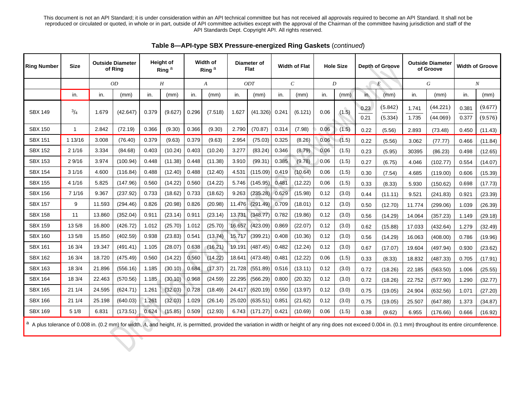| <b>Ring Number</b> | <b>Size</b> |        | <b>Outside Diameter</b><br>of Ring |       | <b>Height of</b><br>Ring <sup>a</sup> |       | Width of<br>Ring <sup>a</sup>      |        | Diameter of<br><b>Flat</b> |       | <b>Width of Flat</b> |      | <b>Hole Size</b> |              | <b>Depth of Groove</b> |                  | <b>Outside Diameter</b><br>of Groove | Width of Groove |                    |
|--------------------|-------------|--------|------------------------------------|-------|---------------------------------------|-------|------------------------------------|--------|----------------------------|-------|----------------------|------|------------------|--------------|------------------------|------------------|--------------------------------------|-----------------|--------------------|
|                    |             |        | <i>OD</i><br>H                     |       | A                                     |       | ODT<br>$\mathcal{C}_{\mathcal{C}}$ |        |                            | D     |                      | E    |                  | G            |                        | $\boldsymbol{N}$ |                                      |                 |                    |
|                    | in.         | in.    | (mm)                               | in.   | (mm)                                  | in.   | (mm)                               | in.    | (mm)                       | in.   | (mm)                 | in.  | (mm)             | in.          | (mm)                   | in.              | (mm)                                 | in.             | (mm)               |
| <b>SBX 149</b>     | $^{3}/_{4}$ | 1.679  | (42.647)                           | 0.379 | (9.627)                               | 0.296 | (7.518)                            | 1.627  | (41.326)                   | 0.241 | (6.121)              | 0.06 | (1.5)            | 0.23<br>0.21 | (5.842)<br>(5.334)     | 1.741<br>1.735   | (44.221)<br>(44.069)                 | 0.381<br>0.377  | (9.677)<br>(9.576) |
| <b>SBX 150</b>     | 1           | 2.842  | (72.19)                            | 0.366 | (9.30)                                | 0.366 | (9.30)                             | 2.790  | (70.87)                    | 0.314 | (7.98)               | 0.06 | (1.5)            | 0.22         | (5.56)                 | 2.893            | (73.48)                              | 0.450           | (11.43)            |
| <b>SBX 151</b>     | 1 13/16     | 3.008  | (76.40)                            | 0.379 | (9.63)                                | 0.379 | (9.63)                             | 2.954  | (75.03)                    | 0.325 | (8.26)               | 0.06 | (1.5)            | 0.22         | (5.56)                 | 3.062            | (77.77)                              | 0.466           | (11.84)            |
| <b>SBX 152</b>     | 21/16       | 3.334  | (84.68)                            | 0.403 | (10.24)                               | 0.403 | (10.24)                            | 3.277  | (83.24)                    | 0.346 | (8.79)               | 0.06 | (1.5)            | 0.23         | (5.95)                 | 30395            | (86.23)                              | 0.498           | (12.65)            |
| <b>SBX 153</b>     | 29/16       | 3.974  | (100.94)                           | 0.448 | (11.38)                               | 0.448 | (11.38)                            | 3.910  | (99.31)                    | 0.385 | (9.78)               | 0.06 | (1.5)            | 0.27         | (6.75)                 | 4.046            | (102.77)                             | 0.554           | (14.07)            |
| <b>SBX 154</b>     | 31/16       | 4.600  | (116.84)                           | 0.488 | (12.40)                               | 0.488 | (12.40)                            | 4.531  | (115.09)                   | 0.419 | (10.64)              | 0.06 | (1.5)            | 0.30         | (7.54)                 | 4.685            | (119.00)                             | 0.606           | (15.39)            |
| <b>SBX 155</b>     | 4 1/16      | 5.825  | (147.96)                           | 0.560 | (14.22)                               | 0.560 | (14.22)                            | 5.746  | (145.95)                   | 0.481 | (12.22)              | 0.06 | (1.5)            | 0.33         | (8.33)                 | 5.930            | (150.62)                             | 0.698           | (17.73)            |
| <b>SBX 156</b>     | 71/16       | 9.367  | (237.92)                           | 0.733 | (18.62)                               | 0.733 | (18.62)                            | 9.263  | (235.28)                   | 0.629 | (15.98)              | 0.12 | (3.0)            | 0.44         | (11.11)                | 9.521            | (241.83)                             | 0.921           | (23.39)            |
| <b>SBX 157</b>     | 9           | 11.593 | (294.46)                           | 0.826 | (20.98)                               | 0.826 | (20.98)                            | 11.476 | (291.49)                   | 0.709 | (18.01)              | 0.12 | (3.0)            | 0.50         | (12.70)                | 11.774           | (299.06)                             | 1.039           | (26.39)            |
| <b>SBX 158</b>     | 11          | 13.860 | (352.04)                           | 0.911 | (23.14)                               | 0.911 | (23.14)                            | 13.731 | (348.77)                   | 0.782 | (19.86)              | 0.12 | (3.0)            | 0.56         | (14.29)                | 14.064           | (357.23)                             | 1.149           | (29.18)            |
| <b>SBX 159</b>     | 135/8       | 16.800 | (426.72)                           | 1.012 | (25.70)                               | 1.012 | (25.70)                            | 16.657 | (423.09)                   | 0.869 | (22.07)              | 0.12 | (3.0)            | 0.62         | (15.88)                | 17.033           | (432.64)                             | 1.279           | (32.49)            |
| <b>SBX 160</b>     | 135/8       | 15.850 | (402.59)                           | 0.938 | (23.83)                               | 0.541 | (13.74)                            | 15.717 | (399.21)                   | 0.408 | (10.36)              | 0.12 | (3.0)            | 0.56         | (14.29)                | 16.063           | (408.00)                             | 0.786           | (19.96)            |
| <b>SBX 161</b>     | 16 3/4      | 19.347 | (491.41)                           | 1.105 | (28.07)                               | 0.638 | (16.21)                            | 19.191 | (487.45)                   | 0.482 | (12.24)              | 0.12 | (3.0)            | 0.67         | (17.07)                | 19.604           | (497.94)                             | 0.930           | (23.62)            |
| <b>SBX 162</b>     | 16 3/4      | 18.720 | (475.49)                           | 0.560 | (14.22)                               | 0.560 | (14.22)                            | 18.641 | (473.48)                   | 0.481 | (12.22)              | 0.06 | (1.5)            | 0.33         | (8.33)                 | 18.832           | (487.33)                             | 0.705           | (17.91)            |
| <b>SBX 163</b>     | 18 3/4      | 21.896 | (556.16)                           | 1.185 | (30.10)                               | 0.684 | (17.37)                            | 21.728 | (551.89)                   | 0.516 | (13.11)              | 0.12 | (3.0)            | 0.72         | (18.26)                | 22.185           | (563.50)                             | 1.006           | (25.55)            |
| <b>SBX 164</b>     | 18 3/4      | 22.463 | (570.56)                           | 1.185 | (30.10)                               | 0.968 | (24.59)                            | 22.295 | (566.29)                   | 0.800 | (20.32)              | 0.12 | (3.0)            | 0.72         | (18.26)                | 22.752           | (577.90)                             | 1.290           | (32.77)            |
| <b>SBX 165</b>     | 21 1/4      | 24.595 | (624.71)                           | 1.261 | (32.03)                               | 0.728 | (18.49)                            | 24.417 | (620.19)                   | 0.550 | (13.97)              | 0.12 | (3.0)            | 0.75         | (19.05)                | 24.904           | (632.56)                             | 1.071           | (27.20)            |
| <b>SBX 166</b>     | 21 1/4      | 25.198 | (640.03)                           | 1.261 | (32.03)                               | 1.029 | (26.14)                            | 25.020 | (635.51                    | 0.851 | (21.62)              | 0.12 | (3.0)            | 0.75         | (19.05)                | 25.507           | (647.88)                             | 1.373           | (34.87)            |
| <b>SBX 169</b>     | 51/8        | 6.831  | (173.51)                           | 0.624 | (15.85)                               | 0.509 | (12.93)                            | 6.743  | (171.27)                   | 0.421 | (10.69)              | 0.06 | (1.5)            | 0.38         | (9.62)                 | 6.955            | (176.66)                             | 0.666           | (16.92)            |

**Table 8—API-type SBX Pressure-energized Ring Gaskets** (*continued*)

a A plus tolerance of 0.008 in. (0.2 mm) for width, A, and height, H, is permitted, provided the variation in width or height of any ring does not exceed 0.004 in. (0.1 mm) throughout its entire circumference.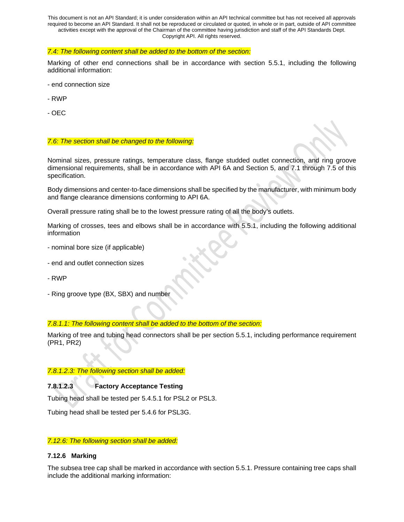#### *7.4: The following content shall be added to the bottom of the section:*

Marking of other end connections shall be in accordance with section 5.5.1, including the following additional information:

- end connection size
- RWP
- OEC

#### *7.6: The section shall be changed to the following:*

Nominal sizes, pressure ratings, temperature class, flange studded outlet connection, and ring groove dimensional requirements, shall be in accordance with API 6A and Section 5, and 7.1 through 7.5 of this specification.

Body dimensions and center-to-face dimensions shall be specified by the manufacturer, with minimum body and flange clearance dimensions conforming to API 6A.

Overall pressure rating shall be to the lowest pressure rating of all the body's outlets.

Marking of crosses, tees and elbows shall be in accordance with 5.5.1, including the following additional information

- nominal bore size (if applicable)
- end and outlet connection sizes
- RWP
- Ring groove type (BX, SBX) and number

#### *7.8.1.1: The following content shall be added to the bottom of the section:*

Marking of tree and tubing head connectors shall be per section 5.5.1, including performance requirement (PR1, PR2)

#### *7.8.1.2.3: The following section shall be added:*

#### **7.8.1.2.3 Factory Acceptance Testing**

Tubing head shall be tested per 5.4.5.1 for PSL2 or PSL3.

Tubing head shall be tested per 5.4.6 for PSL3G.

#### *7.12.6: The following section shall be added:*

#### **7.12.6 Marking**

The subsea tree cap shall be marked in accordance with section 5.5.1. Pressure containing tree caps shall include the additional marking information: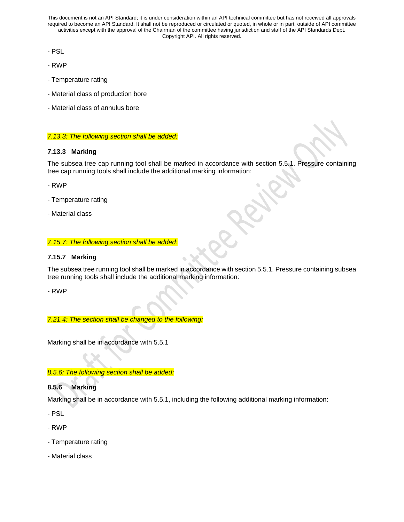- PSL
- RWP
- Temperature rating
- Material class of production bore
- Material class of annulus bore

*7.13.3: The following section shall be added:*

## **7.13.3 Marking**

The subsea tree cap running tool shall be marked in accordance with section 5.5.1. Pressure containing tree cap running tools shall include the additional marking information:

- RWP

- Temperature rating
- Material class

## *7.15.7: The following section shall be added:*

# **7.15.7 Marking**

The subsea tree running tool shall be marked in accordance with section 5.5.1. Pressure containing subsea tree running tools shall include the additional marking information:

- RWP

*7.21.4: The section shall be changed to the following:*

Marking shall be in accordance with 5.5.1

# *8.5.6: The following section shall be added:*

# **8.5.6 Marking**

Marking shall be in accordance with 5.5.1, including the following additional marking information:

- PSL
- RWP
- Temperature rating
- Material class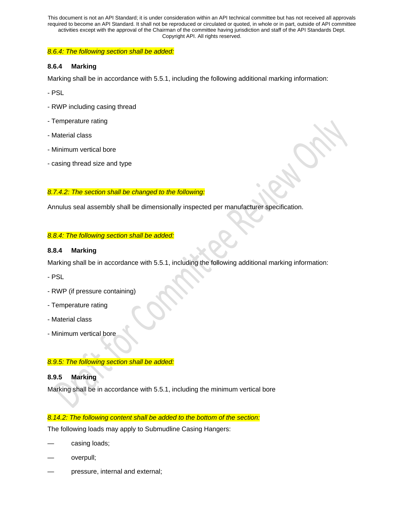#### *8.6.4: The following section shall be added:*

### **8.6.4 Marking**

Marking shall be in accordance with 5.5.1, including the following additional marking information:

- PSL
- RWP including casing thread
- Temperature rating
- Material class
- Minimum vertical bore
- casing thread size and type

# *8.7.4.2: The section shall be changed to the following:*

Annulus seal assembly shall be dimensionally inspected per manufacturer specification.

## *8.8.4: The following section shall be added:*

## **8.8.4 Marking**

Marking shall be in accordance with 5.5.1, including the following additional marking information:

- PSL
- RWP (if pressure containing)
- Temperature rating
- Material class
- Minimum vertical bore

# *8.9.5: The following section shall be added:*

#### **8.9.5 Marking**

Marking shall be in accordance with 5.5.1, including the minimum vertical bore

#### *8.14.2: The following content shall be added to the bottom of the section:*

The following loads may apply to Submudline Casing Hangers:

- casing loads;
- overpull;
- pressure, internal and external;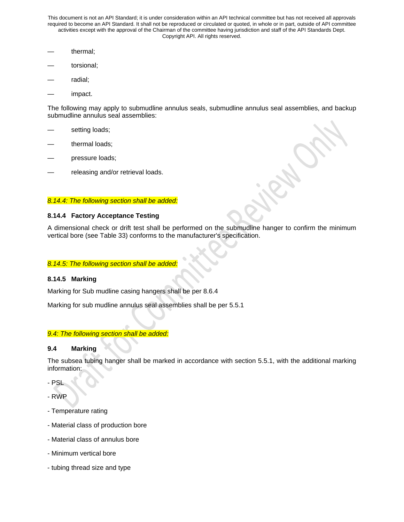- thermal;
- torsional;
- radial;
- impact.

The following may apply to submudline annulus seals, submudline annulus seal assemblies, and backup submudline annulus seal assemblies:

- setting loads;
- thermal loads;
- pressure loads;
- releasing and/or retrieval loads.

### *8.14.4: The following section shall be added:*

## **8.14.4 Factory Acceptance Testing**

A dimensional check or drift test shall be performed on the submudline hanger to confirm the minimum vertical bore (see Table 33) conforms to the manufacturer's specification.

#### *8.14.5: The following section shall be added:*

#### **8.14.5 Marking**

Marking for Sub mudline casing hangers shall be per 8.6.4

Marking for sub mudline annulus seal assemblies shall be per 5.5.1

# *9.4: The following section shall be added:*

#### **9.4 Marking**

The subsea tubing hanger shall be marked in accordance with section 5.5.1, with the additional marking information:

- PSL

- RWP
- Temperature rating
- Material class of production bore
- Material class of annulus bore
- Minimum vertical bore
- tubing thread size and type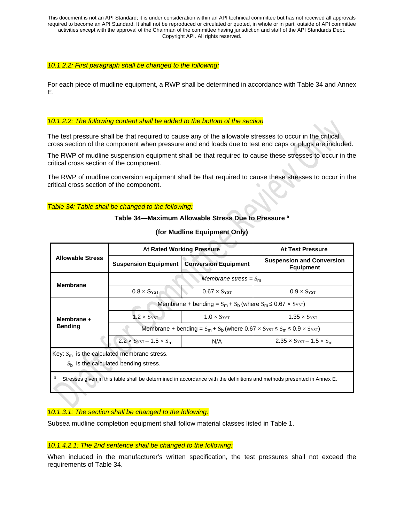#### *10.1.2.2: First paragraph shall be changed to the following:*

For each piece of mudline equipment, a RWP shall be determined in accordance with Table 34 and Annex E.

#### *10.1.2.2: The following content shall be added to the bottom of the section*

The test pressure shall be that required to cause any of the allowable stresses to occur in the critical cross section of the component when pressure and end loads due to test end caps or plugs are included.

The RWP of mudline suspension equipment shall be that required to cause these stresses to occur in the critical cross section of the component.

The RWP of mudline conversion equipment shall be that required to cause these stresses to occur in the critical cross section of the component.

#### *Table 34: Table shall be changed to the following:*

#### **Table 34—Maximum Allowable Stress Due to Pressure a**

|                                                                                                                            | <b>At Rated Working Pressure</b>                                                                                             |                                                             | At Test Pressure                                       |  |  |  |  |  |  |  |
|----------------------------------------------------------------------------------------------------------------------------|------------------------------------------------------------------------------------------------------------------------------|-------------------------------------------------------------|--------------------------------------------------------|--|--|--|--|--|--|--|
| <b>Allowable Stress</b>                                                                                                    | <b>Suspension Equipment</b>                                                                                                  | <b>Conversion Equipment</b>                                 | <b>Suspension and Conversion</b><br><b>Equipment</b>   |  |  |  |  |  |  |  |
| <b>Membrane</b>                                                                                                            | Membrane stress = $S_m$                                                                                                      |                                                             |                                                        |  |  |  |  |  |  |  |
|                                                                                                                            | $0.8 \times S$ YST                                                                                                           | $0.67 \times S_{\text{YST}}$<br>$0.9 \times S_{\text{YST}}$ |                                                        |  |  |  |  |  |  |  |
|                                                                                                                            | Membrane + bending = $S_m + S_b$ (where $S_m \le 0.67 \times S_{\text{YST}}$ )                                               |                                                             |                                                        |  |  |  |  |  |  |  |
| Membrane +                                                                                                                 | $1.2 \times S_{\text{YST}}$                                                                                                  | $1.0 \times S_{\text{YST}}$                                 | $1.35 \times S$ YST                                    |  |  |  |  |  |  |  |
| <b>Bending</b>                                                                                                             | Membrane + bending = $S_m$ + $S_b$ (where 0.67 $\times$ $S_{\text{YST}}$ $\leq$ $S_m$ $\leq$ 0.9 $\times$ $S_{\text{YST}}$ ) |                                                             |                                                        |  |  |  |  |  |  |  |
|                                                                                                                            | $2.2 \times S_{\text{YST}} - 1.5 \times S_{\text{m}}$                                                                        | N/A                                                         | $2.35 \times S_{\text{YST}} - 1.5 \times S_{\text{m}}$ |  |  |  |  |  |  |  |
| Key: $S_m$ is the calculated membrane stress.                                                                              |                                                                                                                              |                                                             |                                                        |  |  |  |  |  |  |  |
| $Sb$ is the calculated bending stress.                                                                                     |                                                                                                                              |                                                             |                                                        |  |  |  |  |  |  |  |
| а<br>Stresses given in this table shall be determined in accordance with the definitions and methods presented in Annex E. |                                                                                                                              |                                                             |                                                        |  |  |  |  |  |  |  |

## **(for Mudline Equipment Only)**

#### *10.1.3.1: The section shall be changed to the following:*

Subsea mudline completion equipment shall follow material classes listed in Table 1.

#### *10.1.4.2.1: The 2nd sentence shall be changed to the following:*

When included in the manufacturer's written specification, the test pressures shall not exceed the requirements of Table 34.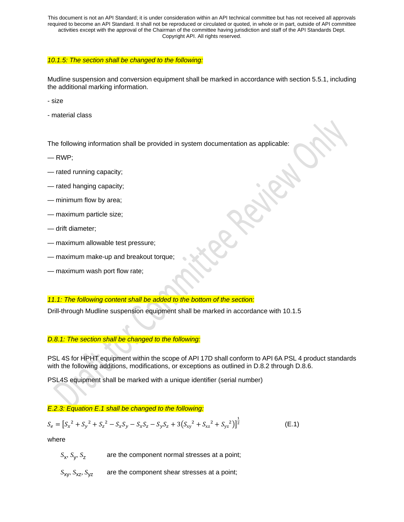## *10.1.5: The section shall be changed to the following:*

Mudline suspension and conversion equipment shall be marked in accordance with section 5.5.1, including the additional marking information.

- size

- material class

The following information shall be provided in system documentation as applicable:

- $-$  RWP:
- rated running capacity;
- rated hanging capacity;
- minimum flow by area;
- maximum particle size;
- drift diameter;
- maximum allowable test pressure;
- maximum make-up and breakout torque;
- maximum wash port flow rate;

#### *11.1: The following content shall be added to the bottom of the section:*

Drill-through Mudline suspension equipment shall be marked in accordance with 10.1.5

#### *D.8.1: The section shall be changed to the following:*

PSL 4S for HPHT equipment within the scope of API 17D shall conform to API 6A PSL 4 product standards with the following additions, modifications, or exceptions as outlined in D.8.2 through D.8.6.

PSL4S equipment shall be marked with a unique identifier (serial number)

#### *E.2.3: Equation E.1 shall be changed to the following:*

$$
S_e = [S_x^2 + S_y^2 + S_z^2 - S_x S_y - S_x S_z - S_y S_z + 3(S_{xy}^2 + S_{xz}^2 + S_{yz}^2)]^{\frac{1}{2}}
$$
(E.1)

where

*S*x, *S*y, *S*<sup>z</sup> are the component normal stresses at a point;

*S*xy, *S*xz*, S*yz are the component shear stresses at a point;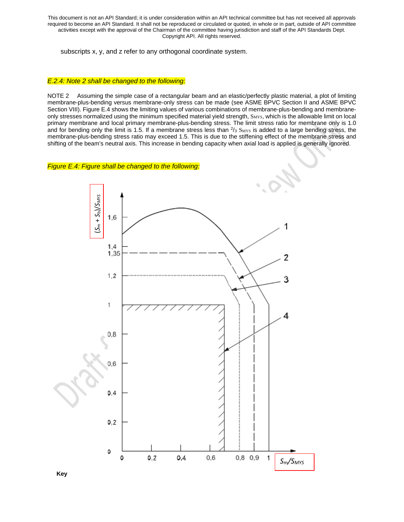subscripts x, y, and z refer to any orthogonal coordinate system.

#### *E.2.4: Note 2 shall be changed to the following:*

NOTE 2 Assuming the simple case of a rectangular beam and an elastic/perfectly plastic material, a plot of limiting membrane-plus-bending versus membrane-only stress can be made (see ASME BPVC Section II and ASME BPVC Section VIII). Figure E.4 shows the limiting values of various combinations of membrane-plus-bending and membraneonly stresses normalized using the minimum specified material yield strength, S<sub>MYS</sub>, which is the allowable limit on local primary membrane and local primary membrane-plus-bending stress. The limit stress ratio for membrane only is 1.0 and for bending only the limit is 1.5. If a membrane stress less than  $\frac{2}{3}$  S<sub>MYS</sub> is added to a large bending stress, the membrane-plus-bending stress ratio may exceed 1.5. This is due to the stiffening effect of the membrane stress and shifting of the beam's neutral axis. This increase in bending capacity when axial load is applied is generally ignored.

#### *Figure E.4: Figure shall be changed to the following:*



**Key**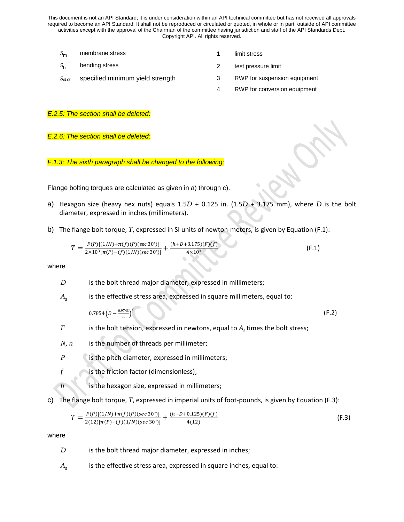- *S*<sub>m</sub> membrane stress 1 limit stress
- *S*<sub>b</sub> bending stress 2 test pressure limit
- -
- *SMYS* specified minimum yield strength 3 RWP for suspension equipment
	-
	- 4 RWP for conversion equipment

#### *E.2.5: The section shall be deleted:*

#### *E.2.6: The section shall be deleted:*

*F.1.3: The sixth paragraph shall be changed to the following:*

Flange bolting torques are calculated as given in a) through c).

- a) Hexagon size (heavy hex nuts) equals 1.5*D* + 0.125 in. (1.5*D* + 3.175 mm), where *D* is the bolt diameter, expressed in inches (millimeters).
- b) The flange bolt torque, *T*, expressed in SI units of newton-meters, is given by Equation (F.1):

$$
T = \frac{F(P)[(1/N) + \pi(f)(P)(\sec 30^\circ)]}{2 \times 10^3 [\pi(P) - (f)(1/N)(\sec 30^\circ)]} + \frac{(h + D + 3.175)(F)(f)}{4 \times 10^3}
$$
(F.1)

where

- *D* is the bolt thread major diameter, expressed in millimeters;
- $A_{\rm s}$  is the effective stress area, expressed in square millimeters, equal to:

 $0.7854\left(D-\frac{0.9743}{n}\right)$ 2 (F.2)

- *F* is the bolt tension, expressed in newtons, equal to  $A<sub>s</sub>$  times the bolt stress;
- *N*, *n* is the number of threads per millimeter;
- *P* is the pitch diameter, expressed in millimeters;
- *f* is the friction factor (dimensionless);
- *h* is the hexagon size, expressed in millimeters;
- c) The flange bolt torque, *T*, expressed in imperial units of foot-pounds, is given by Equation (F.3):

$$
T = \frac{F(P)[(1/N) + \pi(f)(P)(sec\ 30^\circ)]}{2(12)[\pi(P) - (f)(1/N)(sec\ 30^\circ)]} + \frac{(h+D+0.125)(F)(f)}{4(12)}\tag{F.3}
$$

where

- *D* is the bolt thread major diameter, expressed in inches;
- $A_{s}$  is the effective stress area, expressed in square inches, equal to: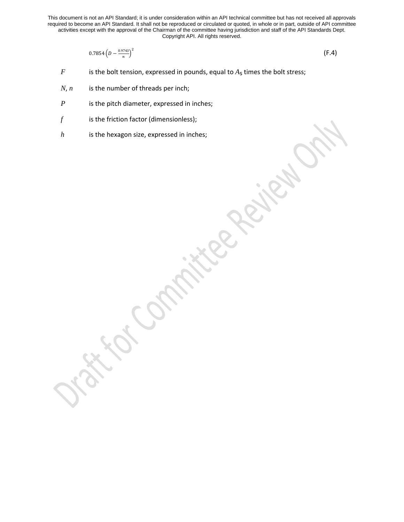$$
0.7854\left(D - \frac{0.9743}{n}\right)^2\tag{F.4}
$$

*F* is the bolt tension, expressed in pounds, equal to  $A_s$  times the bolt stress;

- *N*, *n* is the number of threads per inch;
- *P* is the pitch diameter, expressed in inches;
- *f* is the friction factor (dimensionless);
- *h* is the hexagon size, expressed in inches;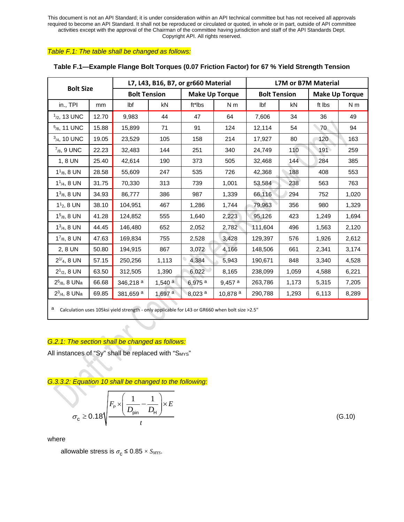### *Table F.1: The table shall be changed as follows:*

| <b>Bolt Size</b>         |       |                      |                      | L7, L43, B16, B7, or gr660 Material |                       | <b>L7M or B7M Material</b> |       |                       |                |  |  |  |
|--------------------------|-------|----------------------|----------------------|-------------------------------------|-----------------------|----------------------------|-------|-----------------------|----------------|--|--|--|
|                          |       | <b>Bolt Tension</b>  |                      |                                     | <b>Make Up Torque</b> | <b>Bolt Tension</b>        |       | <b>Make Up Torque</b> |                |  |  |  |
| $in.,$ TPI               | mm    | lbf                  | kN                   | ft*lbs                              | N <sub>m</sub>        | Ibf                        | kN    | ft lbs                | N <sub>m</sub> |  |  |  |
| $1/2$ , 13 UNC           | 12.70 | 9,983                | 44                   | 47                                  | 64                    | 7,606                      | 34    | 36                    | 49             |  |  |  |
| $5/8$ , 11 UNC           | 15.88 | 15,899               | 71                   | 91                                  | 124                   | 12,114                     | 54    | 70                    | 94             |  |  |  |
| $3/4$ , 10 UNC           | 19.05 | 23,529               | 105                  | 158                                 | 214                   | 17,927                     | 80    | 120                   | 163            |  |  |  |
| $7_{/8}$ , 9 UNC         | 22.23 | 32,483               | 144                  | 251                                 | 340                   | 24,749                     | 110   | 191                   | 259            |  |  |  |
| 1, 8 UN                  | 25.40 | 42,614               | 190                  | 373                                 | 505                   | 32,468                     | 144   | 284                   | 385            |  |  |  |
| $11/8$ , 8 UN            | 28.58 | 55,609               | 247                  | 535                                 | 726                   | 42,368                     | 188   | 408                   | 553            |  |  |  |
| $1^{1}_{/4}$ , 8 UN      | 31.75 | 70,330               | 313                  | 739                                 | 1,001                 | 53,584                     | 238   | 563                   | 763            |  |  |  |
| $13_{/8}$ , 8 UN         | 34.93 | 86,777               | 386                  | 987                                 | 1,339                 | 66,116                     | 294   | 752                   | 1,020          |  |  |  |
| $11$ <sub>2</sub> , 8 UN | 38.10 | 104,951              | 467                  | 1,286                               | 1,744                 | 79,963                     | 356   | 980                   | 1,329          |  |  |  |
| $15/8$ , 8 UN            | 41.28 | 124,852              | 555                  | 1,640                               | 2,223                 | 95,126                     | 423   | 1,249                 | 1,694          |  |  |  |
| $13/4$ , 8 UN            | 44.45 | 146,480              | 652                  | 2,052                               | 2,782                 | 111,604                    | 496   | 1,563                 | 2,120          |  |  |  |
| $1^{7}/8$ , 8 UN         | 47.63 | 169,834              | 755                  | 2,528                               | 3,428                 | 129,397                    | 576   | 1,926                 | 2,612          |  |  |  |
| 2, 8 UN                  | 50.80 | 194,915              | 867                  | 3,072                               | 4,166                 | 148,506                    | 661   | 2,341                 | 3,174          |  |  |  |
| $2^{1/4}$ , 8 UN         | 57.15 | 250,256              | 1,113                | 4,384                               | 5,943                 | 190,671                    | 848   | 3,340                 | 4,528          |  |  |  |
| $2^{1/2}$ , 8 UN         | 63.50 | 312,505              | 1,390                | 6,022                               | 8,165                 | 238,099                    | 1,059 | 4,588                 | 6,221          |  |  |  |
| $2^{5}/8$ , 8 UNa        | 66.68 | 346,218 <sup>a</sup> | 1,540 $a$            | 6,975 <sup>a</sup>                  | $9,457$ <sup>a</sup>  | 263,786                    | 1,173 | 5,315                 | 7,205          |  |  |  |
| $2^3$ /4, 8 UNa          | 69.85 | 381,659 <sup>a</sup> | $1,697$ <sup>a</sup> | 8,023 <sup>a</sup>                  | 10,878 <sup>a</sup>   | 290,788                    | 1,293 | 6,113                 | 8,289          |  |  |  |
|                          |       |                      |                      |                                     |                       |                            |       |                       |                |  |  |  |

### **Table F.1—Example Flange Bolt Torques (0.07 Friction Factor) for 67 % Yield Strength Tension**

a Calculation uses 105ksi yield strength - only applicable for L43 or GR660 when bolt size >2.5"

# *G.2.1: The section shall be changed as follows:*

All instances of "Sy" shall be replaced with "SMYs"

*G.3.3.2: Equation 10 shall be changed to the following:*

$$
\sigma_{\rm c} \ge 0.18 \sqrt{\frac{F_{\rm p} \times \left(\frac{1}{D_{\rm pin}} - \frac{1}{D_{\rm H}}\right) \times E}{t}}
$$
\n
$$
\tag{G.10}
$$

where

allowable stress is  $\sigma_{\rm c} \leq 0.85 \times S_{\rm MYS}$ .